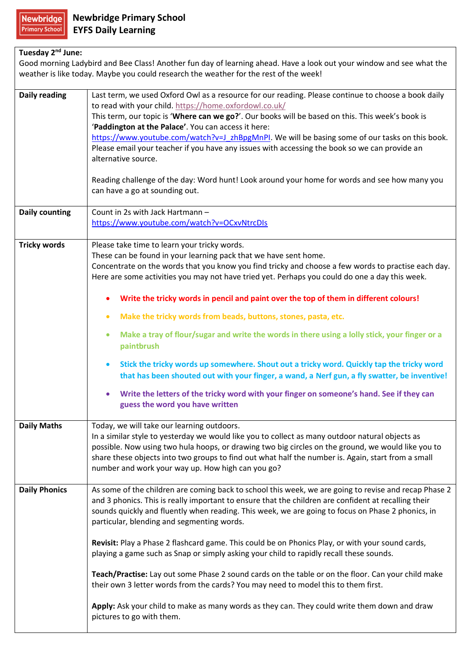## **Tuesday 2nd June:**

Good morning Ladybird and Bee Class! Another fun day of learning ahead. Have a look out your window and see what the weather is like today. Maybe you could research the weather for the rest of the week!

| Daily reading         | Last term, we used Oxford Owl as a resource for our reading. Please continue to choose a book daily<br>to read with your child. https://home.oxfordowl.co.uk/<br>This term, our topic is 'Where can we go?'. Our books will be based on this. This week's book is<br>'Paddington at the Palace'. You can access it here:<br>https://www.youtube.com/watch?v=J_zhBpgMnPI. We will be basing some of our tasks on this book.<br>Please email your teacher if you have any issues with accessing the book so we can provide an<br>alternative source.<br>Reading challenge of the day: Word hunt! Look around your home for words and see how many you<br>can have a go at sounding out.                                                                                                                                                                                                                                                                                                            |
|-----------------------|--------------------------------------------------------------------------------------------------------------------------------------------------------------------------------------------------------------------------------------------------------------------------------------------------------------------------------------------------------------------------------------------------------------------------------------------------------------------------------------------------------------------------------------------------------------------------------------------------------------------------------------------------------------------------------------------------------------------------------------------------------------------------------------------------------------------------------------------------------------------------------------------------------------------------------------------------------------------------------------------------|
| <b>Daily counting</b> | Count in 2s with Jack Hartmann -<br>https://www.youtube.com/watch?v=OCxvNtrcDIs                                                                                                                                                                                                                                                                                                                                                                                                                                                                                                                                                                                                                                                                                                                                                                                                                                                                                                                  |
| <b>Tricky words</b>   | Please take time to learn your tricky words.<br>These can be found in your learning pack that we have sent home.<br>Concentrate on the words that you know you find tricky and choose a few words to practise each day.<br>Here are some activities you may not have tried yet. Perhaps you could do one a day this week.<br>Write the tricky words in pencil and paint over the top of them in different colours!<br>$\bullet$<br>Make the tricky words from beads, buttons, stones, pasta, etc.<br>$\bullet$<br>Make a tray of flour/sugar and write the words in there using a lolly stick, your finger or a<br>$\bullet$<br>paintbrush<br>Stick the tricky words up somewhere. Shout out a tricky word. Quickly tap the tricky word<br>$\bullet$<br>that has been shouted out with your finger, a wand, a Nerf gun, a fly swatter, be inventive!<br>Write the letters of the tricky word with your finger on someone's hand. See if they can<br>$\bullet$<br>guess the word you have written |
| <b>Daily Maths</b>    | Today, we will take our learning outdoors.<br>In a similar style to yesterday we would like you to collect as many outdoor natural objects as<br>possible. Now using two hula hoops, or drawing two big circles on the ground, we would like you to<br>share these objects into two groups to find out what half the number is. Again, start from a small<br>number and work your way up. How high can you go?                                                                                                                                                                                                                                                                                                                                                                                                                                                                                                                                                                                   |
| <b>Daily Phonics</b>  | As some of the children are coming back to school this week, we are going to revise and recap Phase 2<br>and 3 phonics. This is really important to ensure that the children are confident at recalling their<br>sounds quickly and fluently when reading. This week, we are going to focus on Phase 2 phonics, in<br>particular, blending and segmenting words.<br>Revisit: Play a Phase 2 flashcard game. This could be on Phonics Play, or with your sound cards,<br>playing a game such as Snap or simply asking your child to rapidly recall these sounds.<br>Teach/Practise: Lay out some Phase 2 sound cards on the table or on the floor. Can your child make<br>their own 3 letter words from the cards? You may need to model this to them first.<br>Apply: Ask your child to make as many words as they can. They could write them down and draw<br>pictures to go with them.                                                                                                         |